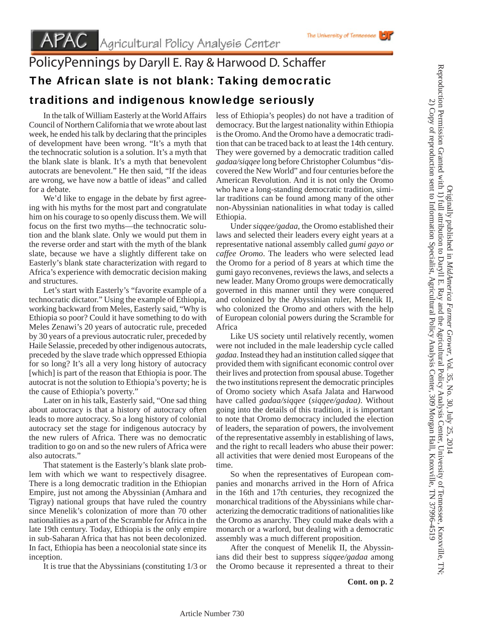# PolicyPennings by Daryll E. Ray & Harwood D. Schaffer

## The African slate is not blank: Taking democratic

### traditions and indigenous knowledge seriously

 In the talk of William Easterly at the World Affairs Council of Northern California that we wrote about last week, he ended his talk by declaring that the principles of development have been wrong. "It's a myth that the technocratic solution is a solution. It's a myth that the blank slate is blank. It's a myth that benevolent autocrats are benevolent." He then said, "If the ideas are wrong, we have now a battle of ideas" and called for a debate.

We'd like to engage in the debate by first agreeing with his myths for the most part and congratulate him on his courage to so openly discuss them. We will focus on the first two myths—the technocratic solution and the blank slate. Only we would put them in the reverse order and start with the myth of the blank slate, because we have a slightly different take on Easterly's blank state characterization with regard to Africa's experience with democratic decision making and structures.

 Let's start with Easterly's "favorite example of a technocratic dictator." Using the example of Ethiopia, working backward from Meles, Easterly said, "Why is Ethiopia so poor? Could it have something to do with Meles Zenawi's 20 years of autocratic rule, preceded by 30 years of a previous autocratic ruler, preceded by Haile Selassie, preceded by other indigenous autocrats, preceded by the slave trade which oppressed Ethiopia for so long? It's all a very long history of autocracy [which] is part of the reason that Ethiopia is poor. The autocrat is not the solution to Ethiopia's poverty; he is the cause of Ethiopia's poverty."

 Later on in his talk, Easterly said, "One sad thing about autocracy is that a history of autocracy often leads to more autocracy. So a long history of colonial autocracy set the stage for indigenous autocracy by the new rulers of Africa. There was no democratic tradition to go on and so the new rulers of Africa were also autocrats."

 That statement is the Easterly's blank slate problem with which we want to respectively disagree. There is a long democratic tradition in the Ethiopian Empire, just not among the Abyssinian (Amhara and Tigray) national groups that have ruled the country since Menelik's colonization of more than 70 other nationalities as a part of the Scramble for Africa in the late 19th century. Today, Ethiopia is the only empire in sub-Saharan Africa that has not been decolonized. In fact, Ethiopia has been a neocolonial state since its inception.

It is true that the Abyssinians (constituting 1/3 or

less of Ethiopia's peoples) do not have a tradition of democracy. But the largest nationality within Ethiopia is the Oromo. And the Oromo have a democratic tradition that can be traced back to at least the 14th century. They were governed by a democratic tradition called *gadaa/siqqee* long before Christopher Columbus "discovered the New World" and four centuries before the American Revolution. And it is not only the Oromo who have a long-standing democratic tradition, similar traditions can be found among many of the other non-Abyssinian nationalities in what today is called Ethiopia.

 Under *siqqee/gadaa*, the Oromo established their laws and selected their leaders every eight years at a representative national assembly called *gumi gayo or caffee Oromo*. The leaders who were selected lead the Oromo for a period of 8 years at which time the gumi gayo reconvenes, reviews the laws, and selects a new leader. Many Oromo groups were democratically governed in this manner until they were conquered and colonized by the Abyssinian ruler, Menelik II, who colonized the Oromo and others with the help of European colonial powers during the Scramble for Africa

 Like US society until relatively recently, women were not included in the male leadership cycle called *gadaa*. Instead they had an institution called *siqqee* that provided them with significant economic control over their lives and protection from spousal abuse. Together the two institutions represent the democratic principles of Oromo society which Asafa Jalata and Harwood have called *gadaa/siqqee* (*siqqee/gadaa)*. Without going into the details of this tradition, it is important to note that Oromo democracy included the election of leaders, the separation of powers, the involvement of the representative assembly in establishing of laws, and the right to recall leaders who abuse their power: all activities that were denied most Europeans of the time.

 So when the representatives of European companies and monarchs arrived in the Horn of Africa in the 16th and 17th centuries, they recognized the monarchical traditions of the Abyssinians while characterizing the democratic traditions of nationalities like the Oromo as anarchy. They could make deals with a monarch or a warlord, but dealing with a democratic assembly was a much different proposition.

 After the conquest of Menelik II, the Abyssinians did their best to suppress *siqqee/gadaa* among the Oromo because it represented a threat to their Originally published in *MidAmerica Farmer Grower*

Originally published in MidAmerica Farmer Grower, Vol. 35, No. 30, July 25, 2014

, Vol. 35, No. 30, July 25, 2014